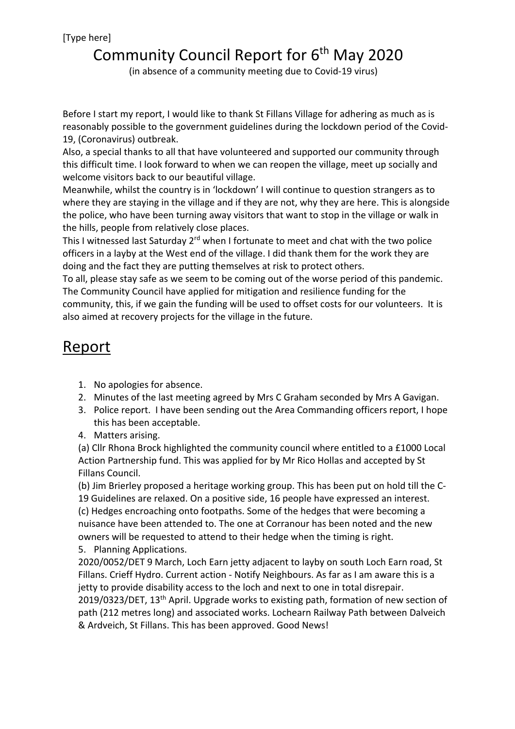## Community Council Report for  $6<sup>th</sup>$  May 2020 (in absence of a community meeting due to Covid-19 virus)

Before I start my report, I would like to thank St Fillans Village for adhering as much as is reasonably possible to the government guidelines during the lockdown period of the Covid-19, (Coronavirus) outbreak.

Also, a special thanks to all that have volunteered and supported our community through this difficult time. I look forward to when we can reopen the village, meet up socially and welcome visitors back to our beautiful village.

Meanwhile, whilst the country is in 'lockdown' I will continue to question strangers as to where they are staying in the village and if they are not, why they are here. This is alongside the police, who have been turning away visitors that want to stop in the village or walk in the hills, people from relatively close places.

This I witnessed last Saturday 2<sup>rd</sup> when I fortunate to meet and chat with the two police officers in a layby at the West end of the village. I did thank them for the work they are doing and the fact they are putting themselves at risk to protect others.

To all, please stay safe as we seem to be coming out of the worse period of this pandemic. The Community Council have applied for mitigation and resilience funding for the community, this, if we gain the funding will be used to offset costs for our volunteers. It is also aimed at recovery projects for the village in the future.

## Report

- 1. No apologies for absence.
- 2. Minutes of the last meeting agreed by Mrs C Graham seconded by Mrs A Gavigan.
- 3. Police report. I have been sending out the Area Commanding officers report, I hope this has been acceptable.
- 4. Matters arising.

(a) Cllr Rhona Brock highlighted the community council where entitled to a £1000 Local Action Partnership fund. This was applied for by Mr Rico Hollas and accepted by St Fillans Council.

(b) Jim Brierley proposed a heritage working group. This has been put on hold till the C-19 Guidelines are relaxed. On a positive side, 16 people have expressed an interest. (c) Hedges encroaching onto footpaths. Some of the hedges that were becoming a nuisance have been attended to. The one at Corranour has been noted and the new owners will be requested to attend to their hedge when the timing is right.

5. Planning Applications.

2020/0052/DET 9 March, Loch Earn jetty adjacent to layby on south Loch Earn road, St Fillans. Crieff Hydro. Current action - Notify Neighbours. As far as I am aware this is a jetty to provide disability access to the loch and next to one in total disrepair. 2019/0323/DET, 13<sup>th</sup> April. Upgrade works to existing path, formation of new section of path (212 metres long) and associated works. Lochearn Railway Path between Dalveich & Ardveich, St Fillans. This has been approved. Good News!